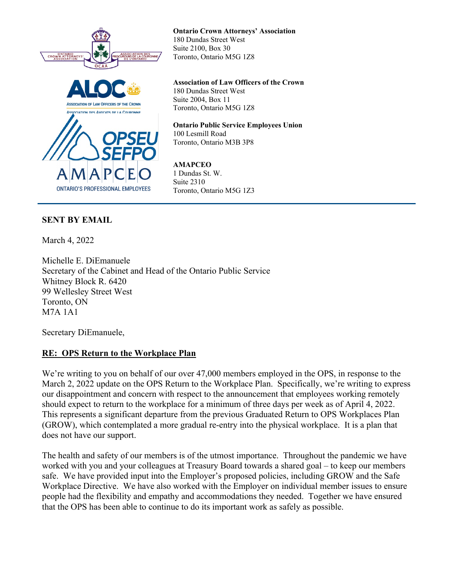



**Ontario Crown Attorneys' Association** 180 Dundas Street West Suite 2100, Box 30 Toronto, Ontario M5G 1Z8

**Association of Law Officers of the Crown** 180 Dundas Street West Suite 2004, Box 11 Toronto, Ontario M5G 1Z8

**Ontario Public Service Employees Union** 100 Lesmill Road Toronto, Ontario M3B 3P8

**AMAPCEO** 1 Dundas St. W. Suite 2310 Toronto, Ontario M5G 1Z3

## **SENT BY EMAIL**

March 4, 2022

Michelle E. DiEmanuele Secretary of the Cabinet and Head of the Ontario Public Service Whitney Block R. 6420 99 Wellesley Street West Toronto, ON M7A 1A1

Secretary DiEmanuele,

## **RE: OPS Return to the Workplace Plan**

We're writing to you on behalf of our over 47,000 members employed in the OPS, in response to the March 2, 2022 update on the OPS Return to the Workplace Plan. Specifically, we're writing to express our disappointment and concern with respect to the announcement that employees working remotely should expect to return to the workplace for a minimum of three days per week as of April 4, 2022. This represents a significant departure from the previous Graduated Return to OPS Workplaces Plan (GROW), which contemplated a more gradual re-entry into the physical workplace. It is a plan that does not have our support.

The health and safety of our members is of the utmost importance. Throughout the pandemic we have worked with you and your colleagues at Treasury Board towards a shared goal – to keep our members safe. We have provided input into the Employer's proposed policies, including GROW and the Safe Workplace Directive. We have also worked with the Employer on individual member issues to ensure people had the flexibility and empathy and accommodations they needed. Together we have ensured that the OPS has been able to continue to do its important work as safely as possible.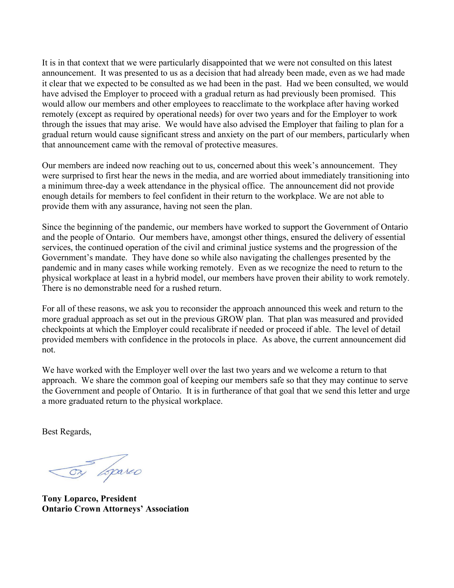It is in that context that we were particularly disappointed that we were not consulted on this latest announcement. It was presented to us as a decision that had already been made, even as we had made it clear that we expected to be consulted as we had been in the past. Had we been consulted, we would have advised the Employer to proceed with a gradual return as had previously been promised. This would allow our members and other employees to reacclimate to the workplace after having worked remotely (except as required by operational needs) for over two years and for the Employer to work through the issues that may arise. We would have also advised the Employer that failing to plan for a gradual return would cause significant stress and anxiety on the part of our members, particularly when that announcement came with the removal of protective measures.

Our members are indeed now reaching out to us, concerned about this week's announcement. They were surprised to first hear the news in the media, and are worried about immediately transitioning into a minimum three-day a week attendance in the physical office. The announcement did not provide enough details for members to feel confident in their return to the workplace. We are not able to provide them with any assurance, having not seen the plan.

Since the beginning of the pandemic, our members have worked to support the Government of Ontario and the people of Ontario. Our members have, amongst other things, ensured the delivery of essential services, the continued operation of the civil and criminal justice systems and the progression of the Government's mandate. They have done so while also navigating the challenges presented by the pandemic and in many cases while working remotely. Even as we recognize the need to return to the physical workplace at least in a hybrid model, our members have proven their ability to work remotely. There is no demonstrable need for a rushed return.

For all of these reasons, we ask you to reconsider the approach announced this week and return to the more gradual approach as set out in the previous GROW plan. That plan was measured and provided checkpoints at which the Employer could recalibrate if needed or proceed if able. The level of detail provided members with confidence in the protocols in place. As above, the current announcement did not.

We have worked with the Employer well over the last two years and we welcome a return to that approach. We share the common goal of keeping our members safe so that they may continue to serve the Government and people of Ontario. It is in furtherance of that goal that we send this letter and urge a more graduated return to the physical workplace.

Best Regards,

To Loparco

**Tony Loparco, President Ontario Crown Attorneys' Association**